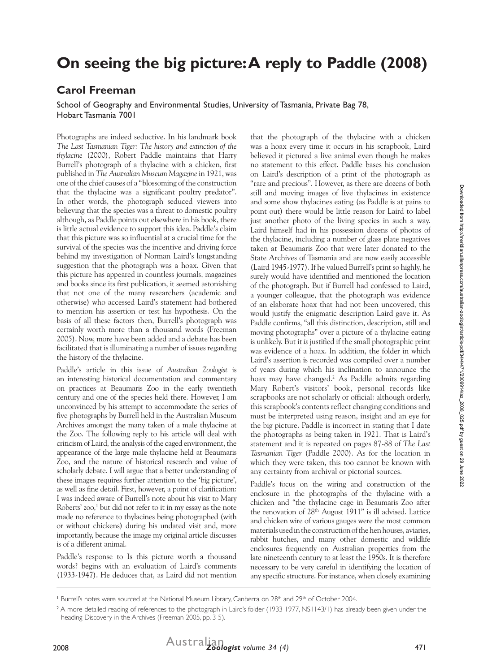## **On seeing the big picture: A reply to Paddle (2008)**

## **Carol Freeman**

School of Geography and Environmental Studies, University of Tasmania, Private Bag 78, Hobart Tasmania 7001

Photographs are indeed seductive. In his landmark book *The Last Tasmanian Tiger: The history and extinction of the thylacine* (2000), Robert Paddle maintains that Harry Burrell's photograph of a thylacine with a chicken, first published in *The Australian Museum Magazine* in 1921, was one of the chief causes of a "blossoming of the construction that the thylacine was a significant poultry predator". In other words, the photograph seduced viewers into believing that the species was a threat to domestic poultry although, as Paddle points out elsewhere in his book, there is little actual evidence to support this idea. Paddle's claim that this picture was so influential at a crucial time for the survival of the species was the incentive and driving force behind my investigation of Norman Laird's longstanding suggestion that the photograph was a hoax. Given that this picture has appeared in countless journals, magazines and books since its first publication, it seemed astonishing that not one of the many researchers (academic and otherwise) who accessed Laird's statement had bothered to mention his assertion or test his hypothesis. On the basis of all these factors then, Burrell's photograph was certainly worth more than a thousand words (Freeman 2005). Now, more have been added and a debate has been facilitated that is illuminating a number of issues regarding the history of the thylacine.

Paddle's article in this issue of *Australian Zoologist* is an interesting historical documentation and commentary on practices at Beaumaris Zoo in the early twentieth century and one of the species held there. However, I am unconvinced by his attempt to accommodate the series of five photographs by Burrell held in the Australian Museum Archives amongst the many taken of a male thylacine at the Zoo. The following reply to his article will deal with criticism of Laird, the analysis of the caged environment, the appearance of the large male thylacine held at Beaumaris Zoo, and the nature of historical research and value of scholarly debate. I will argue that a better understanding of these images requires further attention to the 'big picture', as well as fine detail. First, however, a point of clarification: I was indeed aware of Burrell's note about his visit to Mary Roberts' zoo,<sup>1</sup> but did not refer to it in my essay as the note made no reference to thylacines being photographed (with or without chickens) during his undated visit and, more importantly, because the image my original article discusses is of a different animal.

Paddle's response to Is this picture worth a thousand words? begins with an evaluation of Laird's comments (1933-1947). He deduces that, as Laird did not mention

that the photograph of the thylacine with a chicken was a hoax every time it occurs in his scrapbook, Laird believed it pictured a live animal even though he makes no statement to this effect. Paddle bases his conclusion on Laird's description of a print of the photograph as "rare and precious". However, as there are dozens of both still and moving images of live thylacines in existence and some show thylacines eating (as Paddle is at pains to point out) there would be little reason for Laird to label just another photo of the living species in such a way. Laird himself had in his possession dozens of photos of the thylacine, including a number of glass plate negatives taken at Beaumaris Zoo that were later donated to the State Archives of Tasmania and are now easily accessible (Laird 1945-1977). If he valued Burrell's print so highly, he surely would have identified and mentioned the location of the photograph. But if Burrell had confessed to Laird, a younger colleague, that the photograph was evidence of an elaborate hoax that had not been uncovered, this would justify the enigmatic description Laird gave it. As Paddle confirms, "all this distinction, description, still and moving photographs" over a picture of a thylacine eating is unlikely. But it *is* justified if the small photographic print was evidence of a hoax. In addition, the folder in which Laird's assertion is recorded was compiled over a number of years during which his inclination to announce the hoax may have changed.<sup>2</sup> As Paddle admits regarding Mary Robert's visitors' book, personal records like scrapbooks are not scholarly or official: although orderly, this scrapbook's contents reflect changing conditions and must be interpreted using reason, insight and an eye for the big picture. Paddle is incorrect in stating that I date the photographs as being taken in 1921. That is Laird's statement and it is repeated on pages 87-88 of *The Last Tasmanian Tiger* (Paddle 2000). As for the location in which they were taken, this too cannot be known with any certainty from archival or pictorial sources.

Paddle's focus on the wiring and construction of the enclosure in the photographs of the thylacine with a chicken and "the thylacine cage in Beaumaris Zoo after the renovation of 28th August 1911" is ill advised. Lattice and chicken wire of various gauges were the most common materials used in the construction of the hen houses, aviaries, rabbit hutches, and many other domestic and wildlife enclosures frequently on Australian properties from the late nineteenth century to at least the 1950s. It is therefore necessary to be very careful in identifying the location of any specific structure. For instance, when closely examining

<sup>&</sup>lt;sup>1</sup> Burrell's notes were sourced at the National Museum Library, Canberra on 28<sup>th</sup> and 29<sup>th</sup> of October 2004.

<sup>2</sup> A more detailed reading of references to the photograph in Laird's folder (1933-1977, NS1143/1) has already been given under the heading Discovery in the Archives (Freeman 2005, pp. 3-5).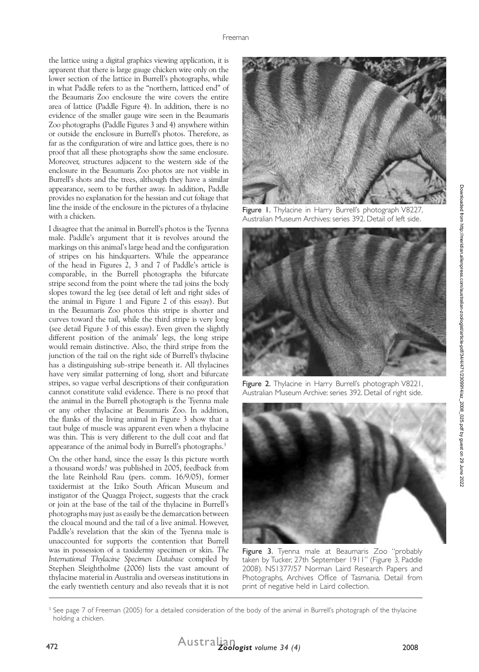the lattice using a digital graphics viewing application, it is apparent that there is large gauge chicken wire only on the lower section of the lattice in Burrell's photographs, while in what Paddle refers to as the "northern, latticed end" of the Beaumaris Zoo enclosure the wire covers the entire area of lattice (Paddle Figure 4). In addition, there is no evidence of the smaller gauge wire seen in the Beaumaris Zoo photographs (Paddle Figures 3 and 4) anywhere within or outside the enclosure in Burrell's photos. Therefore, as far as the configuration of wire and lattice goes, there is no proof that all these photographs show the same enclosure. Moreover, structures adjacent to the western side of the enclosure in the Beaumaris Zoo photos are not visible in Burrell's shots and the trees, although they have a similar appearance, seem to be further away. In addition, Paddle provides no explanation for the hessian and cut foliage that line the inside of the enclosure in the pictures of a thylacine with a chicken.

I disagree that the animal in Burrell's photos is the Tyenna male. Paddle's argument that it is revolves around the markings on this animal's large head and the configuration of stripes on his hindquarters. While the appearance of the head in Figures 2, 3 and 7 of Paddle's article is comparable, in the Burrell photographs the bifurcate stripe second from the point where the tail joins the body slopes toward the leg (see detail of left and right sides of the animal in Figure 1 and Figure 2 of this essay). But in the Beaumaris Zoo photos this stripe is shorter and curves toward the tail, while the third stripe is very long (see detail Figure 3 of this essay). Even given the slightly different position of the animals' legs, the long stripe would remain distinctive. Also, the third stripe from the junction of the tail on the right side of Burrell's thylacine has a distinguishing sub-stripe beneath it. All thylacines have very similar patterning of long, short and bifurcate stripes, so vague verbal descriptions of their configuration cannot constitute valid evidence. There is no proof that the animal in the Burrell photograph is the Tyenna male or any other thylacine at Beaumaris Zoo. In addition, the flanks of the living animal in Figure 3 show that a taut bulge of muscle was apparent even when a thylacine was thin. This is very different to the dull coat and flat appearance of the animal body in Burrell's photographs.3

On the other hand, since the essay Is this picture worth a thousand words? was published in 2005, feedback from the late Reinhold Rau (pers. comm. 16/9/05), former taxidermist at the Iziko South African Museum and instigator of the Quagga Project, suggests that the crack or join at the base of the tail of the thylacine in Burrell's photographs may just as easily be the demarcation between the cloacal mound and the tail of a live animal. However, Paddle's revelation that the skin of the Tyenna male is unaccounted for supports the contention that Burrell was in possession of a taxidermy specimen or skin. *The International Thylacine Specimen Database* compiled by Stephen Sleightholme (2006) lists the vast amount of thylacine material in Australia and overseas institutions in the early twentieth century and also reveals that it is not



Figure 1. Thylacine in Harry Burrell's photograph V8227, Australian Museum Archives: series 392. Detail of left side.



Figure 2. Thylacine in Harry Burrell's photograph V8221, Australian Museum Archive: series 392. Detail of right side.



Figure 3. Tyenna male at Beaumaris Zoo "probably taken by Tucker, 27th September 1911" (Figure 3, Paddle 2008). NS1377/57 Norman Laird Research Papers and Photographs, Archives Office of Tasmania. Detail from print of negative held in Laird collection.

<sup>&</sup>lt;sup>3</sup> See page 7 of Freeman (2005) for a detailed consideration of the body of the animal in Burrell's photograph of the thylacine holding a chicken.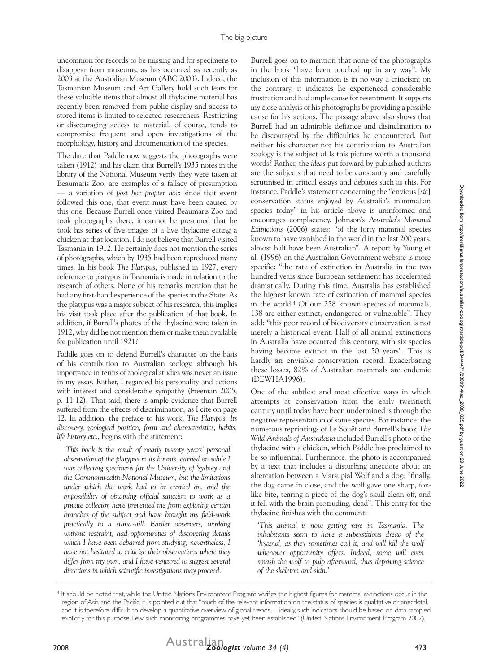uncommon for records to be missing and for specimens to disappear from museums, as has occurred as recently as 2003 at the Australian Museum (ABC 2003). Indeed, the Tasmanian Museum and Art Gallery hold such fears for these valuable items that almost all thylacine material has recently been removed from public display and access to stored items is limited to selected researchers. Restricting or discouraging access to material, of course, tends to compromise frequent and open investigations of the morphology, history and documentation of the species.

The date that Paddle now suggests the photographs were taken (1912) and his claim that Burrell's 1935 notes in the library of the National Museum verify they were taken at Beaumaris Zoo, are examples of a fallacy of presumption — a variation of *post hoc propter hoc*: since that event followed this one, that event must have been caused by this one. Because Burrell once visited Beaumaris Zoo and took photographs there, it cannot be presumed that he took his series of five images of a live thylacine eating a chicken at that location. I do not believe that Burrell visited Tasmania in 1912. He certainly does not mention the series of photographs, which by 1935 had been reproduced many times. In his book *The Platypus*, published in 1927, every reference to platypus in Tasmania is made in relation to the research of others. None of his remarks mention that he had any first-hand experience of the species in the State. As the platypus was a major subject of his research, this implies his visit took place after the publication of that book. In addition, if Burrell's photos of the thylacine were taken in 1912, why did he not mention them or make them available for publication until 1921?

Paddle goes on to defend Burrell's character on the basis of his contribution to Australian zoology, although his importance in terms of zoological studies was never an issue in my essay. Rather, I regarded his personality and actions with interest and considerable sympathy (Freeman 2005, p. 11-12). That said, there is ample evidence that Burrell suffered from the effects of discrimination, as I cite on page 12. In addition, the preface to his work, *The Platypus: Its discovery, zoological position, form and characteristics, habits, life history etc.*, begins with the statement:

*'This book is the result of nearly twenty years' personal observation of the platypus in its haunts, carried on while I was collecting specimens for the University of Sydney and the Commonwealth National Museum; but the limitations under which the work had to be carried on, and the impossibility of obtaining official sanction to work as a private collector, have prevented me from exploring certain branches of the subject and have brought my field-work practically to a stand-still. Earlier observers, working without restraint, had opportunities of discovering details which I have been debarred from studying; nevertheless, I have not hesitated to criticize their observations where they differ from my own, and I have ventured to suggest several directions in which scientific investigations may proceed.'*

Burrell goes on to mention that none of the photographs in the book "have been touched up in any way". My inclusion of this information is in no way a criticism; on the contrary, it indicates he experienced considerable frustration and had ample cause for resentment. It supports my close analysis of his photographs by providing a possible cause for his actions. The passage above also shows that Burrell had an admirable defiance and disinclination to be discouraged by the difficulties he encountered. But neither his character nor his contribution to Australian zoology is the subject of Is this picture worth a thousand words? Rather, the *ideas* put forward by published authors are the subjects that need to be constantly and carefully scrutinised in critical essays and debates such as this. For instance, Paddle's statement concerning the "envious [*sic*] conservation status enjoyed by Australia's mammalian species today" in his article above is uninformed and encourages complacency. Johnson's *Australia's Mammal Extinctions* (2006) states: "of the forty mammal species known to have vanished in the world in the last 200 years, almost half have been Australian". A report by Young et al. (1996) on the Australian Government website is more specific: "the rate of extinction in Australia in the two hundred years since European settlement has accelerated dramatically. During this time, Australia has established the highest known rate of extinction of mammal species in the world.4 Of our 258 known species of mammals, 138 are either extinct, endangered or vulnerable". They add: "this poor record of biodiversity conservation is not merely a historical event. Half of all animal extinctions in Australia have occurred this century, with six species having become extinct in the last 50 years". This is hardly an enviable conservation record. Exacerbating these losses, 82% of Australian mammals are endemic (DEWHA1996).

One of the subtlest and most effective ways in which attempts at conservation from the early twentieth century until today have been undermined is through the negative representation of some species. For instance, the numerous reprintings of Le Souëf and Burrell's book *The Wild Animals of Australasia* included Burrell's photo of the thylacine with a chicken, which Paddle has proclaimed to be so influential. Furthermore, the photo is accompanied by a text that includes a disturbing anecdote about an altercation between a Marsupial Wolf and a dog: "finally, the dog came in close, and the wolf gave one sharp, foxlike bite, tearing a piece of the dog's skull clean off, and it fell with the brain protruding, dead". This entry for the thylacine finishes with the comment:

*'This animal is now getting rare in Tasmania. The inhabitants seem to have a superstitious dread of the*  'hyæna', as they sometimes call it, and will kill the wolf *whenever opportunity offers. Indeed, some will even smash the wolf to pulp afterward, thus depriving science of the skeleton and skin.'* 

<sup>4</sup> It should be noted that, while the United Nations Environment Program verifies the highest figures for mammal extinctions occur in the region of Asia and the Pacific, it is pointed out that "much of the relevant information on the status of species is qualitative or anecdotal, and it is therefore difficult to develop a quantitative overview of global trends… ideally, such indicators should be based on data sampled explicitly for this purpose. Few such monitoring programmes have yet been established" (United Nations Environment Program 2002).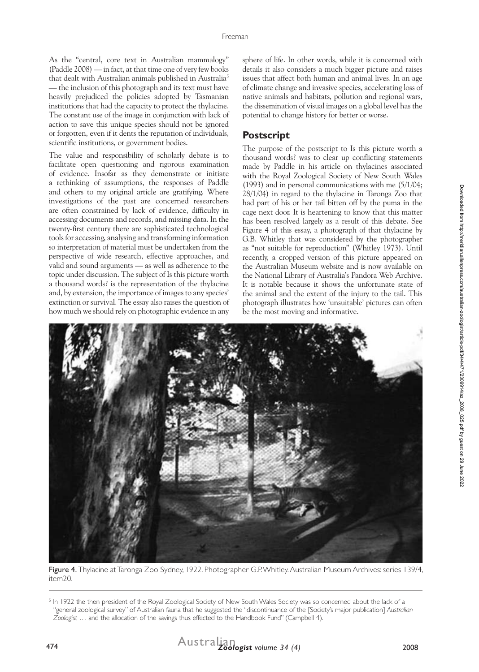As the "central, core text in Australian mammalogy" (Paddle 2008) — in fact, at that time one of very few books that dealt with Australian animals published in Australia<sup>5</sup> — the inclusion of this photograph and its text must have heavily prejudiced the policies adopted by Tasmanian institutions that had the capacity to protect the thylacine. The constant use of the image in conjunction with lack of action to save this unique species should not be ignored or forgotten, even if it dents the reputation of individuals, scientific institutions, or government bodies.

The value and responsibility of scholarly debate is to facilitate open questioning and rigorous examination of evidence. Insofar as they demonstrate or initiate a rethinking of assumptions, the responses of Paddle and others to my original article are gratifying. Where investigations of the past are concerned researchers are often constrained by lack of evidence, difficulty in accessing documents and records, and missing data. In the twenty-first century there are sophisticated technological tools for accessing, analysing and transforming information so interpretation of material must be undertaken from the perspective of wide research, effective approaches, and valid and sound arguments — as well as adherence to the topic under discussion. The subject of Is this picture worth a thousand words? is the representation of the thylacine and, by extension, the importance of images to any species' extinction or survival. The essay also raises the question of how much we should rely on photographic evidence in any sphere of life. In other words, while it is concerned with details it also considers a much bigger picture and raises issues that affect both human and animal lives. In an age of climate change and invasive species, accelerating loss of native animals and habitats, pollution and regional wars, the dissemination of visual images on a global level has the potential to change history for better or worse.

## **Postscript**

The purpose of the postscript to Is this picture worth a thousand words? was to clear up conflicting statements made by Paddle in his article on thylacines associated with the Royal Zoological Society of New South Wales (1993) and in personal communications with me (5/1/04; 28/1/04) in regard to the thylacine in Taronga Zoo that had part of his or her tail bitten off by the puma in the cage next door. It is heartening to know that this matter has been resolved largely as a result of this debate. See Figure 4 of this essay, a photograph of that thylacine by G.B. Whitley that was considered by the photographer as "not suitable for reproduction" (Whitley 1973). Until recently, a cropped version of this picture appeared on the Australian Museum website and is now available on the National Library of Australia's Pandora Web Archive. It is notable because it shows the unfortunate state of the animal and the extent of the injury to the tail. This photograph illustrates how 'unsuitable' pictures can often be the most moving and informative.



Figure 4. Thylacine at Taronga Zoo Sydney, 1922. Photographer G.P. Whitley. Australian Museum Archives: series 139/4, item20.

 $^5$  In 1922 the then president of the Royal Zoological Society of New South Wales Society was so concerned about the lack of a "general zoological survey" of Australian fauna that he suggested the "discontinuance of the [Society's major publication] *Australian Zoologist* … and the allocation of the savings thus effected to the Handbook Fund" (Campbell 4).